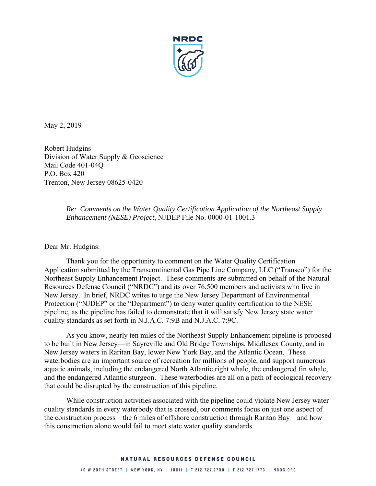

May 2, 2019

Robert Hudgins Division of Water Supply & Geoscience Mail Code 401-04Q P.O. Box 420 Trenton, New Jersey 08625-0420

> *Re: Comments on the Water Quality Certification Application of the Northeast Supply Enhancement (NESE) Project*, NJDEP File No. 0000-01-1001.3

Dear Mr. Hudgins:

Thank you for the opportunity to comment on the Water Quality Certification Application submitted by the Transcontinental Gas Pipe Line Company, LLC ("Transco") for the Northeast Supply Enhancement Project. These comments are submitted on behalf of the Natural Resources Defense Council ("NRDC") and its over 76,500 members and activists who live in New Jersey. In brief, NRDC writes to urge the New Jersey Department of Environmental Protection ("NJDEP" or the "Department") to deny water quality certification to the NESE pipeline, as the pipeline has failed to demonstrate that it will satisfy New Jersey state water quality standards as set forth in N.J.A.C. 7:9B and N.J.A.C. 7:9C.

As you know, nearly ten miles of the Northeast Supply Enhancement pipeline is proposed to be built in New Jersey—in Sayreville and Old Bridge Townships, Middlesex County, and in New Jersey waters in Raritan Bay, lower New York Bay, and the Atlantic Ocean. These waterbodies are an important source of recreation for millions of people, and support numerous aquatic animals, including the endangered North Atlantic right whale, the endangered fin whale, and the endangered Atlantic sturgeon. These waterbodies are all on a path of ecological recovery that could be disrupted by the construction of this pipeline.

While construction activities associated with the pipeline could violate New Jersey water quality standards in every waterbody that is crossed, our comments focus on just one aspect of the construction process—the 6 miles of offshore construction through Raritan Bay—and how this construction alone would fail to meet state water quality standards.

#### NATURAL RESOURCES DEFENSE COUNCIL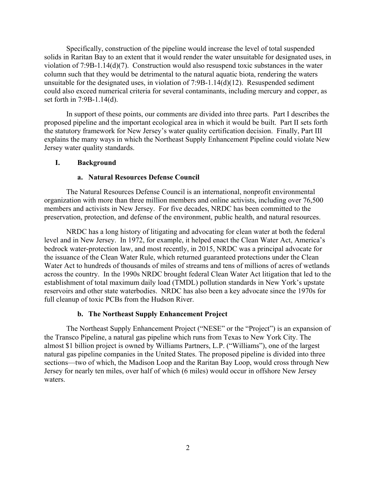Specifically, construction of the pipeline would increase the level of total suspended solids in Raritan Bay to an extent that it would render the water unsuitable for designated uses, in violation of 7:9B-1.14(d)(7). Construction would also resuspend toxic substances in the water column such that they would be detrimental to the natural aquatic biota, rendering the waters unsuitable for the designated uses, in violation of 7:9B-1.14(d)(12). Resuspended sediment could also exceed numerical criteria for several contaminants, including mercury and copper, as set forth in 7:9B-1.14(d).

In support of these points, our comments are divided into three parts. Part I describes the proposed pipeline and the important ecological area in which it would be built. Part II sets forth the statutory framework for New Jersey's water quality certification decision. Finally, Part III explains the many ways in which the Northeast Supply Enhancement Pipeline could violate New Jersey water quality standards.

## **I. Background**

#### **a. Natural Resources Defense Council**

The Natural Resources Defense Council is an international, nonprofit environmental organization with more than three million members and online activists, including over 76,500 members and activists in New Jersey. For five decades, NRDC has been committed to the preservation, protection, and defense of the environment, public health, and natural resources.

NRDC has a long history of litigating and advocating for clean water at both the federal level and in New Jersey. In 1972, for example, it helped enact the Clean Water Act, America's bedrock water-protection law, and most recently, in 2015, NRDC was a principal advocate for the issuance of the Clean Water Rule, which returned guaranteed protections under the Clean Water Act to hundreds of thousands of miles of streams and tens of millions of acres of wetlands across the country. In the 1990s NRDC brought federal Clean Water Act litigation that led to the establishment of total maximum daily load (TMDL) pollution standards in New York's upstate reservoirs and other state waterbodies. NRDC has also been a key advocate since the 1970s for full cleanup of toxic PCBs from the Hudson River.

#### **b. The Northeast Supply Enhancement Project**

The Northeast Supply Enhancement Project ("NESE" or the "Project") is an expansion of the Transco Pipeline, a natural gas pipeline which runs from Texas to New York City. The almost \$1 billion project is owned by Williams Partners, L.P. ("Williams"), one of the largest natural gas pipeline companies in the United States. The proposed pipeline is divided into three sections—two of which, the Madison Loop and the Raritan Bay Loop, would cross through New Jersey for nearly ten miles, over half of which (6 miles) would occur in offshore New Jersey waters.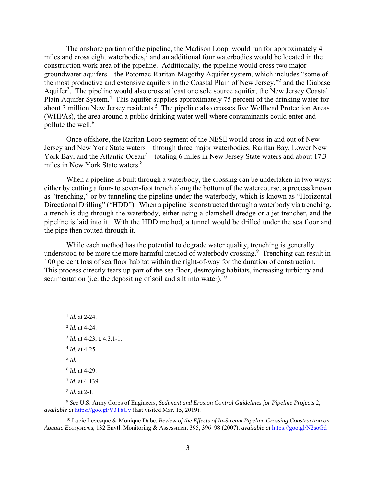The onshore portion of the pipeline, the Madison Loop, would run for approximately 4 miles and cross eight waterbodies,<sup>1</sup> and an additional four waterbodies would be located in the construction work area of the pipeline. Additionally, the pipeline would cross two major groundwater aquifers—the Potomac-Raritan-Magothy Aquifer system, which includes "some of the most productive and extensive aquifers in the Coastal Plain of New Jersey,"<sup>2</sup> and the Diabase Aquifer<sup>3</sup>. The pipeline would also cross at least one sole source aquifer, the New Jersey Coastal Plain Aquifer System.<sup>4</sup> This aquifer supplies approximately 75 percent of the drinking water for about 3 million New Jersey residents.<sup>5</sup> The pipeline also crosses five Wellhead Protection Areas (WHPAs), the area around a public drinking water well where contaminants could enter and pollute the well. $6$ 

Once offshore, the Raritan Loop segment of the NESE would cross in and out of New Jersey and New York State waters—through three major waterbodies: Raritan Bay, Lower New York Bay, and the Atlantic Ocean<sup>7</sup>—totaling 6 miles in New Jersey State waters and about 17.3 miles in New York State waters.8

When a pipeline is built through a waterbody, the crossing can be undertaken in two ways: either by cutting a four- to seven-foot trench along the bottom of the watercourse, a process known as "trenching," or by tunneling the pipeline under the waterbody, which is known as "Horizontal Directional Drilling" ("HDD"). When a pipeline is constructed through a waterbody via trenching, a trench is dug through the waterbody, either using a clamshell dredge or a jet trencher, and the pipeline is laid into it. With the HDD method, a tunnel would be drilled under the sea floor and the pipe then routed through it.

While each method has the potential to degrade water quality, trenching is generally understood to be more the more harmful method of waterbody crossing. $\degree$  Trenching can result in 100 percent loss of sea floor habitat within the right-of-way for the duration of construction. This process directly tears up part of the sea floor, destroying habitats, increasing turbidity and sedimentation (i.e. the depositing of soil and silt into water).<sup>10</sup>

 *Id.* at 2-24. *Id.* at 4-24. *Id.* at 4-23, t. 4.3.1-1. *Id.* at 4-25. <sup>5</sup> *Id. Id.* at 4-29. *Id*. at 4-139. *Id.* at 2-1.

 $\overline{a}$ 

<sup>9</sup> *See* U.S. Army Corps of Engineers, *Sediment and Erosion Control Guidelines for Pipeline Projects* 2, *available at* https://goo.gl/V3T8Uv (last visited Mar. 15, 2019).

10 Lucie Levesque & Monique Dube, *Review of the Effects of In-Stream Pipeline Crossing Construction on Aquatic Ecosystem*s, 132 Envtl. Monitoring & Assessment 395, 396–98 (2007), *available at* https://goo.gl/N2soGd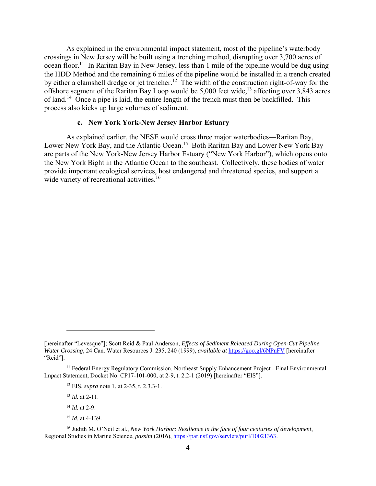As explained in the environmental impact statement, most of the pipeline's waterbody crossings in New Jersey will be built using a trenching method, disrupting over 3,700 acres of ocean floor.<sup>11</sup> In Raritan Bay in New Jersey, less than 1 mile of the pipeline would be dug using the HDD Method and the remaining 6 miles of the pipeline would be installed in a trench created by either a clamshell dredge or jet trencher.<sup>12</sup> The width of the construction right-of-way for the offshore segment of the Raritan Bay Loop would be  $5,000$  feet wide,<sup>13</sup> affecting over 3,843 acres of land.14 Once a pipe is laid, the entire length of the trench must then be backfilled. This process also kicks up large volumes of sediment.

## **c. New York York-New Jersey Harbor Estuary**

As explained earlier, the NESE would cross three major waterbodies—Raritan Bay, Lower New York Bay, and the Atlantic Ocean.<sup>15</sup> Both Raritan Bay and Lower New York Bay are parts of the New York-New Jersey Harbor Estuary ("New York Harbor"), which opens onto the New York Bight in the Atlantic Ocean to the southeast. Collectively, these bodies of water provide important ecological services, host endangered and threatened species, and support a wide variety of recreational activities.<sup>16</sup>

<sup>13</sup> *Id.* at 2-11.

 $\overline{a}$ 

<sup>14</sup> *Id.* at 2-9.

<sup>15</sup> *Id*. at 4-139.

<sup>[</sup>hereinafter "Levesque"]; Scott Reid & Paul Anderson, *Effects of Sediment Released During Open-Cut Pipeline Water Crossing,* 24 Can. Water Resources J. 235, 240 (1999), *available at* https://goo.gl/6NPnFV [hereinafter "Reid"].

<sup>&</sup>lt;sup>11</sup> Federal Energy Regulatory Commission, Northeast Supply Enhancement Project - Final Environmental Impact Statement, Docket No. CP17-101-000, at 2-9, t. 2.2-1 (2019) [hereinafter "EIS"].

<sup>12</sup> EIS, *supra* note 1, at 2-35, t. 2.3.3-1.

<sup>16</sup> Judith M. O'Neil et al., *New York Harbor: Resilience in the face of four centuries of development*, Regional Studies in Marine Science, *passim* (2016), https://par.nsf.gov/servlets/purl/10021363.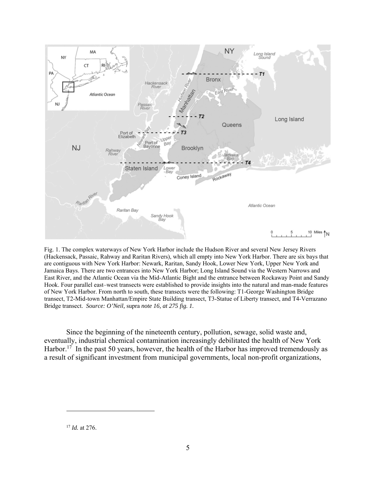

Fig. 1. The complex waterways of New York Harbor include the Hudson River and several New Jersey Rivers (Hackensack, Passaic, Rahway and Raritan Rivers), which all empty into New York Harbor. There are six bays that are contiguous with New York Harbor: Newark, Raritan, Sandy Hook, Lower New York, Upper New York and Jamaica Bays. There are two entrances into New York Harbor; Long Island Sound via the Western Narrows and East River, and the Atlantic Ocean via the Mid-Atlantic Bight and the entrance between Rockaway Point and Sandy Hook. Four parallel east–west transects were established to provide insights into the natural and man-made features of New York Harbor. From north to south, these transects were the following: T1-George Washington Bridge transect, T2-Mid-town Manhattan/Empire State Building transect, T3-Statue of Liberty transect, and T4-Verrazano Bridge transect. *Source: O'Neil,* supra *note 16, at 275 fig. 1.*

Since the beginning of the nineteenth century, pollution, sewage, solid waste and, eventually, industrial chemical contamination increasingly debilitated the health of New York Harbor.<sup>17</sup> In the past 50 years, however, the health of the Harbor has improved tremendously as a result of significant investment from municipal governments, local non-profit organizations,

<sup>17</sup> *Id.* at 276.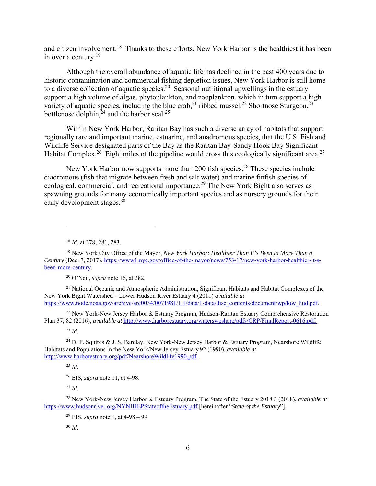and citizen involvement.<sup>18</sup> Thanks to these efforts, New York Harbor is the healthiest it has been in over a century. $19$ 

Although the overall abundance of aquatic life has declined in the past 400 years due to historic contamination and commercial fishing depletion issues, New York Harbor is still home to a diverse collection of aquatic species.<sup>20</sup> Seasonal nutritional upwellings in the estuary support a high volume of algae, phytoplankton, and zooplankton, which in turn support a high variety of aquatic species, including the blue crab,<sup>21</sup> ribbed mussel,<sup>22</sup> Shortnose Sturgeon,<sup>23</sup> bottlenose dolphin, $2^4$  and the harbor seal.<sup>25</sup>

Within New York Harbor, Raritan Bay has such a diverse array of habitats that support regionally rare and important marine, estuarine, and anadromous species, that the U.S. Fish and Wildlife Service designated parts of the Bay as the Raritan Bay-Sandy Hook Bay Significant Habitat Complex.<sup>26</sup> Eight miles of the pipeline would cross this ecologically significant area.<sup>27</sup>

New York Harbor now supports more than 200 fish species.<sup>28</sup> These species include diadromous (fish that migrate between fresh and salt water) and marine finfish species of ecological, commercial, and recreational importance.<sup>29</sup> The New York Bight also serves as spawning grounds for many economically important species and as nursery grounds for their early development stages.30

<sup>18</sup> *Id.* at 278, 281, 283.

20 O'Neil, *supra* note 16, at 282.

<sup>21</sup> National Oceanic and Atmospheric Administration, Significant Habitats and Habitat Complexes of the New York Bight Watershed – Lower Hudson River Estuary 4 (2011) *available at* https://www.nodc.noaa.gov/archive/arc0034/0071981/1.1/data/1-data/disc\_contents/document/wp/low\_hud.pdf.

<sup>22</sup> New York-New Jersey Harbor & Estuary Program, Hudson-Raritan Estuary Comprehensive Restoration Plan 37, 82 (2016), *available at* http://www.harborestuary.org/watersweshare/pdfs/CRP/FinalReport-0616.pdf.

<sup>23</sup> *Id.*

 $\overline{a}$ 

<sup>24</sup> D. F. Squires & J. S. Barclay, New York-New Jersey Harbor & Estuary Program, Nearshore Wildlife Habitats and Populations in the New York/New Jersey Estuary 92 (1990), *available at* http://www.harborestuary.org/pdf/NearshoreWildlife1990.pdf.

<sup>25</sup> *Id.*

26 EIS, *supra* note 11, at 4-98.

<sup>27</sup> *Id.* 

28 New York-New Jersey Harbor & Estuary Program, The State of the Estuary 2018 3 (2018), *available at* https://www.hudsonriver.org/NYNJHEPStateoftheEstuary.pdf [hereinafter "*State of the Estuary*"].

29 EIS, *supra* note 1, at 4-98 – 99

<sup>30</sup> *Id.*

<sup>19</sup> New York City Office of the Mayor, *New York Harbor: Healthier Than It's Been in More Than a Century* (Dec. 7, 2017), https://www1.nyc.gov/office-of-the-mayor/news/753-17/new-york-harbor-healthier-it-sbeen-more-century.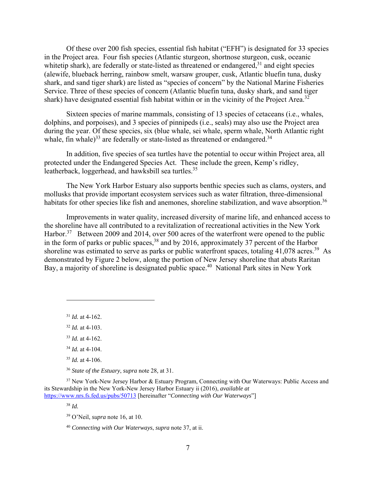Of these over 200 fish species, essential fish habitat ("EFH") is designated for 33 species in the Project area. Four fish species (Atlantic sturgeon, shortnose sturgeon, cusk, oceanic whitetip shark), are federally or state-listed as threatened or endangered, $31$  and eight species (alewife, blueback herring, rainbow smelt, warsaw grouper, cusk, Atlantic bluefin tuna, dusky shark, and sand tiger shark) are listed as "species of concern" by the National Marine Fisheries Service. Three of these species of concern (Atlantic bluefin tuna, dusky shark, and sand tiger shark) have designated essential fish habitat within or in the vicinity of the Project Area.<sup>32</sup>

Sixteen species of marine mammals, consisting of 13 species of cetaceans (i.e., whales, dolphins, and porpoises), and 3 species of pinnipeds (i.e., seals) may also use the Project area during the year. Of these species, six (blue whale, sei whale, sperm whale, North Atlantic right whale, fin whale)<sup>33</sup> are federally or state-listed as threatened or endangered.<sup>34</sup>

In addition, five species of sea turtles have the potential to occur within Project area, all protected under the Endangered Species Act. These include the green, Kemp's ridley, leatherback, loggerhead, and hawksbill sea turtles.<sup>35</sup>

The New York Harbor Estuary also supports benthic species such as clams, oysters, and mollusks that provide important ecosystem services such as water filtration, three-dimensional habitats for other species like fish and anemones, shoreline stabilization, and wave absorption.<sup>36</sup>

Improvements in water quality, increased diversity of marine life, and enhanced access to the shoreline have all contributed to a revitalization of recreational activities in the New York Harbor.<sup>37</sup> Between 2009 and 2014, over 500 acres of the waterfront were opened to the public in the form of parks or public spaces,  $38$  and by 2016, approximately 37 percent of the Harbor shoreline was estimated to serve as parks or public waterfront spaces, totaling  $41,078$  acres.<sup>39</sup> As demonstrated by Figure 2 below, along the portion of New Jersey shoreline that abuts Raritan Bay, a majority of shoreline is designated public space.<sup>40</sup> National Park sites in New York

<sup>31</sup> *Id.* at 4-162.

 $\overline{a}$ 

<sup>32</sup> *Id.* at 4-103.

<sup>33</sup> *Id.* at 4-162.

<sup>34</sup> *Id.* at 4-104.

<sup>35</sup> *Id.* at 4-106.

<sup>36</sup> *State of the Estuary*, *supra* note 28*,* at 31.

<sup>37</sup> New York-New Jersey Harbor & Estuary Program, Connecting with Our Waterways: Public Access and its Stewardship in the New York-New Jersey Harbor Estuary ii (2016), *available at*  https://www.nrs.fs.fed.us/pubs/50713 [hereinafter "*Connecting with Our Waterways*"]

<sup>38</sup> *Id.* 

39 O'Neil, *supra* note 16, at 10.

<sup>40</sup> *Connecting with Our Waterways*, *supra* note 37, at ii.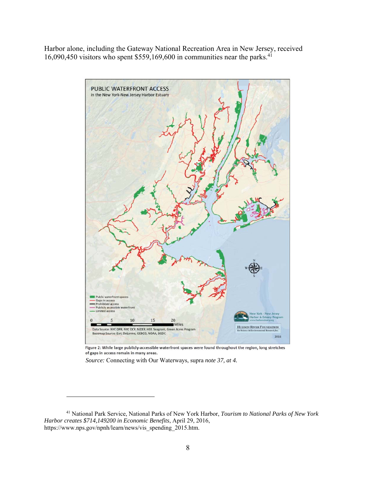Harbor alone, including the Gateway National Recreation Area in New Jersey, received 16,090,450 visitors who spent  $$559,169,600$  in communities near the parks.<sup>41</sup>



Figure 2: While large publicly-accessible waterfront spaces were found throughout the region, long stretches of gaps in access remain in many areas.

*Source:* Connecting with Our Waterways, supra *note 37, at 4.* 

<sup>41</sup> National Park Service, National Parks of New York Harbor, *Tourism to National Parks of New York Harbor creates \$714,149200 in Economic Benefits*, April 29, 2016, https://www.nps.gov/npnh/learn/news/vis\_spending\_2015.htm.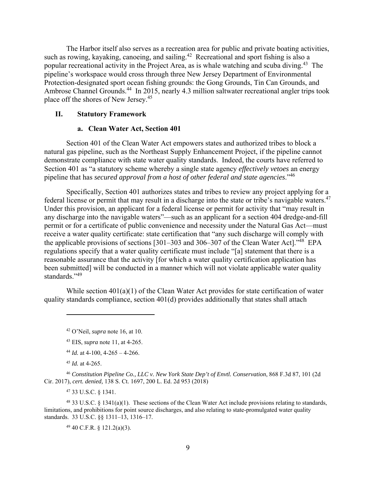The Harbor itself also serves as a recreation area for public and private boating activities, such as rowing, kayaking, canoeing, and sailing.<sup>42</sup> Recreational and sport fishing is also a popular recreational activity in the Project Area, as is whale watching and scuba diving.<sup>43</sup> The pipeline's workspace would cross through three New Jersey Department of Environmental Protection-designated sport ocean fishing grounds: the Gong Grounds, Tin Can Grounds, and Ambrose Channel Grounds.<sup>44</sup> In 2015, nearly 4.3 million saltwater recreational angler trips took place off the shores of New Jersey.45

## **II. Statutory Framework**

## **a. Clean Water Act, Section 401**

Section 401 of the Clean Water Act empowers states and authorized tribes to block a natural gas pipeline, such as the Northeast Supply Enhancement Project, if the pipeline cannot demonstrate compliance with state water quality standards. Indeed, the courts have referred to Section 401 as "a statutory scheme whereby a single state agency *effectively vetoes* an energy pipeline that has *secured approval from a host of other federal and state agencies*."46

Specifically, Section 401 authorizes states and tribes to review any project applying for a federal license or permit that may result in a discharge into the state or tribe's navigable waters.<sup>47</sup> Under this provision, an applicant for a federal license or permit for activity that "may result in any discharge into the navigable waters"—such as an applicant for a section 404 dredge-and-fill permit or for a certificate of public convenience and necessity under the Natural Gas Act—must receive a water quality certificate: state certification that "any such discharge will comply with the applicable provisions of sections [301–303 and 306–307 of the Clean Water Act]."<sup>48</sup> EPA regulations specify that a water quality certificate must include "[a] statement that there is a reasonable assurance that the activity [for which a water quality certification application has been submitted] will be conducted in a manner which will not violate applicable water quality standards."<sup>49</sup>

While section 401(a)(1) of the Clean Water Act provides for state certification of water quality standards compliance, section 401(d) provides additionally that states shall attach

1

<sup>46</sup> *Constitution Pipeline Co., LLC v. New York State Dep't of Envtl. Conservation*, 868 F.3d 87, 101 (2d Cir. 2017), *cert. denied,* 138 S. Ct. 1697, 200 L. Ed. 2d 953 (2018)

47 33 U.S.C. § 1341.

48 33 U.S.C. § 1341(a)(1). These sections of the Clean Water Act include provisions relating to standards, limitations, and prohibitions for point source discharges, and also relating to state-promulgated water quality standards. 33 U.S.C. §§ 1311–13, 1316–17.

49 40 C.F.R. § 121.2(a)(3).

<sup>42</sup> O'Neil, *supra* note 16, at 10.

<sup>43</sup> EIS, *supra* note 11, at 4-265.

<sup>&</sup>lt;sup>44</sup> *Id.* at 4-100, 4-265 – 4-266.

<sup>45</sup> *Id.* at 4-265.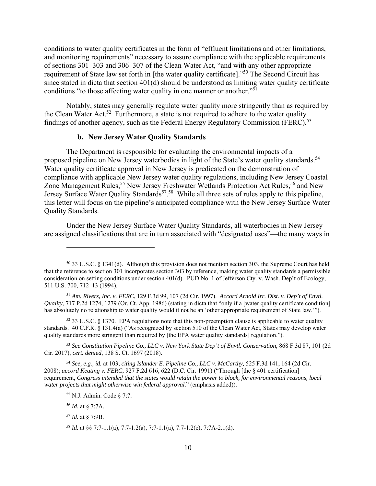conditions to water quality certificates in the form of "effluent limitations and other limitations, and monitoring requirements" necessary to assure compliance with the applicable requirements of sections 301–303 and 306–307 of the Clean Water Act, "and with any other appropriate requirement of State law set forth in [the water quality certificate]."50 The Second Circuit has since stated in dicta that section 401(d) should be understood as limiting water quality certificate conditions "to those affecting water quality in one manner or another."<sup>51</sup>

Notably, states may generally regulate water quality more stringently than as required by the Clean Water Act.<sup>52</sup> Furthermore, a state is not required to adhere to the water quality findings of another agency, such as the Federal Energy Regulatory Commission (FERC).<sup>53</sup>

# **b. New Jersey Water Quality Standards**

The Department is responsible for evaluating the environmental impacts of a proposed pipeline on New Jersey waterbodies in light of the State's water quality standards.<sup>54</sup> Water quality certificate approval in New Jersey is predicated on the demonstration of compliance with applicable New Jersey water quality regulations, including New Jersey Coastal Zone Management Rules,<sup>55</sup> New Jersey Freshwater Wetlands Protection Act Rules,<sup>56</sup> and New Jersey Surface Water Quality Standards<sup>57</sup>.<sup>58</sup> While all three sets of rules apply to this pipeline, this letter will focus on the pipeline's anticipated compliance with the New Jersey Surface Water Quality Standards.

Under the New Jersey Surface Water Quality Standards, all waterbodies in New Jersey are assigned classifications that are in turn associated with "designated uses"—the many ways in

 $52$  33 U.S.C. § 1370. EPA regulations note that this non-preemption clause is applicable to water quality standards. 40 C.F.R. § 131.4(a) ("As recognized by section 510 of the Clean Water Act, States may develop water quality standards more stringent than required by [the EPA water quality standards] regulation.").

<sup>53</sup> *See Constitution Pipeline Co., LLC v. New York State Dep't of Envtl. Conservation*, 868 F.3d 87, 101 (2d Cir. 2017), *cert. denied*, 138 S. Ct. 1697 (2018).

<sup>54</sup> *See, e.g., id.* at 103, *citing Islander E. Pipeline Co., LLC v. McCarthy,* 525 F.3d 141, 164 (2d Cir. 2008); *accord Keating v. FERC*, 927 F.2d 616, 622 (D.C. Cir. 1991) ("Through [the § 401 certification] requirement, *Congress intended that the states would retain the power to block, for environmental reasons, local water projects that might otherwise win federal approval*." (emphasis added)).

 $50$  33 U.S.C. § 1341(d). Although this provision does not mention section 303, the Supreme Court has held that the reference to section 301 incorporates section 303 by reference, making water quality standards a permissible consideration on setting conditions under section 401(d). PUD No. 1 of Jefferson Cty. v. Wash. Dep't of Ecology, 511 U.S. 700, 712–13 (1994).

<sup>51</sup> *Am. Rivers, Inc. v. FERC*, 129 F.3d 99, 107 (2d Cir. 1997). *Accord Arnold Irr. Dist. v. Dep't of Envtl. Quality*, 717 P.2d 1274, 1279 (Or. Ct. App. 1986) (stating in dicta that "only if a [water quality certificate condition] has absolutely no relationship to water quality would it not be an 'other appropriate requirement of State law.'").

<sup>55</sup> N.J. Admin. Code § 7:7.

<sup>56</sup> *Id.* at § 7:7A.

<sup>57</sup> *Id.* at § 7:9B.

<sup>58</sup> *Id.* at §§ 7:7-1.1(a), 7:7-1.2(a), 7:7-1.1(a), 7:7-1.2(e), 7:7A-2.1(d).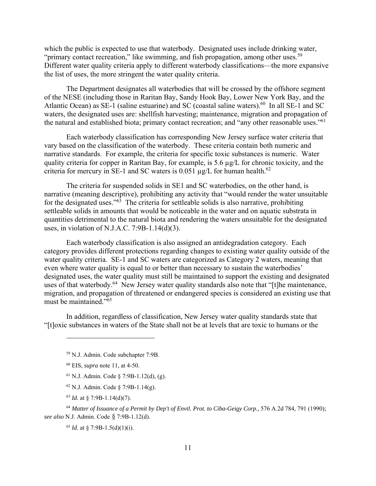which the public is expected to use that waterbody. Designated uses include drinking water, "primary contact recreation," like swimming, and fish propagation, among other uses.<sup>59</sup> Different water quality criteria apply to different waterbody classifications—the more expansive the list of uses, the more stringent the water quality criteria.

The Department designates all waterbodies that will be crossed by the offshore segment of the NESE (including those in Raritan Bay, Sandy Hook Bay, Lower New York Bay, and the Atlantic Ocean) as SE-1 (saline estuarine) and SC (coastal saline waters).<sup>60</sup> In all SE-1 and SC waters, the designated uses are: shellfish harvesting; maintenance, migration and propagation of the natural and established biota; primary contact recreation; and "any other reasonable uses."61

Each waterbody classification has corresponding New Jersey surface water criteria that vary based on the classification of the waterbody. These criteria contain both numeric and narrative standards. For example, the criteria for specific toxic substances is numeric. Water quality criteria for copper in Raritan Bay, for example, is 5.6 µg/L for chronic toxicity, and the criteria for mercury in SE-1 and SC waters is 0.051  $\mu$ g/L for human health.<sup>62</sup>

The criteria for suspended solids in SE1 and SC waterbodies, on the other hand, is narrative (meaning descriptive), prohibiting any activity that "would render the water unsuitable for the designated uses." $63$  The criteria for settleable solids is also narrative, prohibiting settleable solids in amounts that would be noticeable in the water and on aquatic substrata in quantities detrimental to the natural biota and rendering the waters unsuitable for the designated uses, in violation of N.J.A.C. 7:9B-1.14(d)(3).

Each waterbody classification is also assigned an antidegradation category. Each category provides different protections regarding changes to existing water quality outside of the water quality criteria. SE-1 and SC waters are categorized as Category 2 waters, meaning that even where water quality is equal to or better than necessary to sustain the waterbodies' designated uses, the water quality must still be maintained to support the existing and designated uses of that waterbody.<sup>64</sup> New Jersey water quality standards also note that "[t]he maintenance, migration, and propagation of threatened or endangered species is considered an existing use that must be maintained."<sup>65</sup>

In addition, regardless of classification, New Jersey water quality standards state that "[t]oxic substances in waters of the State shall not be at levels that are toxic to humans or the

 $\overline{a}$ 

<sup>65</sup> *Id.* at § 7:9B-1.5(d)(1)(i).

<sup>59</sup> N.J. Admin. Code subchapter 7:9B.

<sup>60</sup> EIS, *supra* note 11, at 4-50.

 $61$  N.J. Admin. Code § 7:9B-1.12(d), (g).

<sup>62</sup> N.J. Admin. Code § 7:9B-1.14(g).

<sup>63</sup> *Id.* at § 7:9B-1.14(d)(7).

<sup>64</sup> *Matter of Issuance of a Permit by Dep't of Envtl. Prot. to Ciba-Geigy Corp.,* 576 A.2d 784, 791 (1990); *see also* N.J. Admin. Code § 7:9B-1.12(d).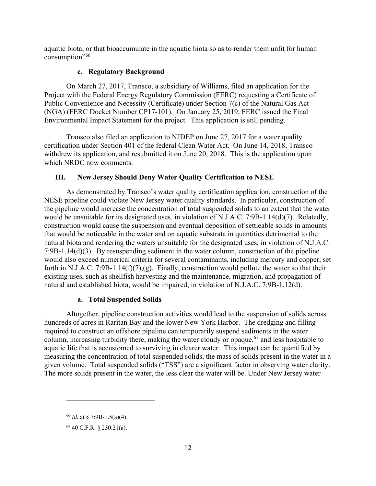aquatic biota, or that bioaccumulate in the aquatic biota so as to render them unfit for human consumption"<sup>66</sup>

## **c. Regulatory Background**

On March 27, 2017, Transco, a subsidiary of Williams, filed an application for the Project with the Federal Energy Regulatory Commission (FERC) requesting a Certificate of Public Convenience and Necessity (Certificate) under Section 7(c) of the Natural Gas Act (NGA) (FERC Docket Number CP17-101). On January 25, 2019, FERC issued the Final Environmental Impact Statement for the project. This application is still pending.

Transco also filed an application to NJDEP on June 27, 2017 for a water quality certification under Section 401 of the federal Clean Water Act. On June 14, 2018, Transco withdrew its application, and resubmitted it on June 20, 2018. This is the application upon which NRDC now comments.

# **III. New Jersey Should Deny Water Quality Certification to NESE**

As demonstrated by Transco's water quality certification application, construction of the NESE pipeline could violate New Jersey water quality standards. In particular, construction of the pipeline would increase the concentration of total suspended solids to an extent that the water would be unsuitable for its designated uses, in violation of N.J.A.C. 7:9B-1.14(d)(7). Relatedly, construction would cause the suspension and eventual deposition of settleable solids in amounts that would be noticeable in the water and on aquatic substrata in quantities detrimental to the natural biota and rendering the waters unsuitable for the designated uses, in violation of N.J.A.C. 7:9B-1.14(d)(3). By resuspending sediment in the water column, construction of the pipeline would also exceed numerical criteria for several contaminants, including mercury and copper, set forth in N.J.A.C. 7:9B-1.14(f)(7),(g). Finally, construction would pollute the water so that their existing uses, such as shellfish harvesting and the maintenance, migration, and propagation of natural and established biota, would be impaired, in violation of N.J.A.C. 7:9B-1.12(d).

#### **a. Total Suspended Solids**

Altogether, pipeline construction activities would lead to the suspension of solids across hundreds of acres in Raritan Bay and the lower New York Harbor. The dredging and filling required to construct an offshore pipeline can temporarily suspend sediments in the water column, increasing turbidity there, making the water cloudy or opaque,  $67$  and less hospitable to aquatic life that is accustomed to surviving in clearer water. This impact can be quantified by measuring the concentration of total suspended solids, the mass of solids present in the water in a given volume. Total suspended solids ("TSS") are a significant factor in observing water clarity. The more solids present in the water, the less clear the water will be. Under New Jersey water

<sup>66</sup> *Id.* at § 7:9B-1.5(a)(4).

<sup>67 40</sup> C.F.R. § 230.21(a).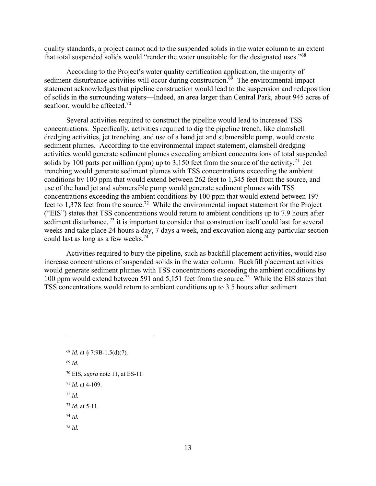quality standards, a project cannot add to the suspended solids in the water column to an extent that total suspended solids would "render the water unsuitable for the designated uses."<sup>68</sup>

According to the Project's water quality certification application, the majority of sediment-disturbance activities will occur during construction.<sup>69</sup> The environmental impact statement acknowledges that pipeline construction would lead to the suspension and redeposition of solids in the surrounding waters—Indeed, an area larger than Central Park, about 945 acres of seafloor, would be affected.<sup>70</sup>

Several activities required to construct the pipeline would lead to increased TSS concentrations. Specifically, activities required to dig the pipeline trench, like clamshell dredging activities, jet trenching, and use of a hand jet and submersible pump, would create sediment plumes. According to the environmental impact statement, clamshell dredging activities would generate sediment plumes exceeding ambient concentrations of total suspended solids by 100 parts per million (ppm) up to 3,150 feet from the source of the activity.<sup>71</sup> Jet trenching would generate sediment plumes with TSS concentrations exceeding the ambient conditions by 100 ppm that would extend between 262 feet to 1,345 feet from the source, and use of the hand jet and submersible pump would generate sediment plumes with TSS concentrations exceeding the ambient conditions by 100 ppm that would extend between 197 feet to 1,378 feet from the source.72 While the environmental impact statement for the Project ("EIS") states that TSS concentrations would return to ambient conditions up to 7.9 hours after sediment disturbance, <sup>73</sup> it is important to consider that construction itself could last for several weeks and take place 24 hours a day, 7 days a week, and excavation along any particular section could last as long as a few weeks.74

Activities required to bury the pipeline, such as backfill placement activities, would also increase concentrations of suspended solids in the water column. Backfill placement activities would generate sediment plumes with TSS concentrations exceeding the ambient conditions by 100 ppm would extend between 591 and 5,151 feet from the source.<sup>75</sup> While the EIS states that TSS concentrations would return to ambient conditions up to 3.5 hours after sediment

- 70 EIS, *supra* note 11, at ES-11.
- <sup>71</sup> *Id.* at 4-109.
- <sup>72</sup> *Id.*
- <sup>73</sup> *Id.* at 5-11.
- <sup>74</sup> *Id.*
- <sup>75</sup> *Id.*

<sup>68</sup> *Id.* at § 7:9B-1.5(d)(7).

<sup>69</sup> *Id.*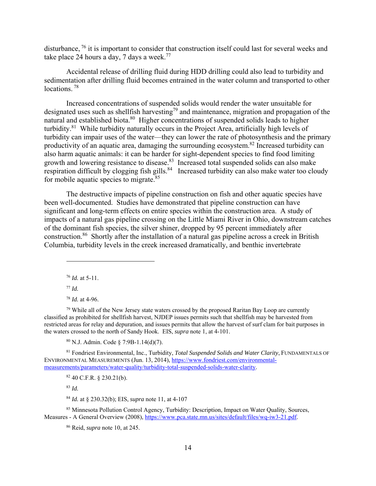disturbance, 76 it is important to consider that construction itself could last for several weeks and take place 24 hours a day, 7 days a week.<sup>77</sup>

Accidental release of drilling fluid during HDD drilling could also lead to turbidity and sedimentation after drilling fluid becomes entrained in the water column and transported to other locations.<sup>78</sup>

Increased concentrations of suspended solids would render the water unsuitable for designated uses such as shellfish harvesting<sup>79</sup> and maintenance, migration and propagation of the natural and established biota.<sup>80</sup> Higher concentrations of suspended solids leads to higher turbidity.<sup>81</sup> While turbidity naturally occurs in the Project Area, artificially high levels of turbidity can impair uses of the water—they can lower the rate of photosynthesis and the primary productivity of an aquatic area, damaging the surrounding ecosystem.82 Increased turbidity can also harm aquatic animals: it can be harder for sight-dependent species to find food limiting growth and lowering resistance to disease.<sup>83</sup> Increased total suspended solids can also make respiration difficult by clogging fish gills.<sup>84</sup> Increased turbidity can also make water too cloudy for mobile aquatic species to migrate.<sup>85</sup>

The destructive impacts of pipeline construction on fish and other aquatic species have been well-documented. Studies have demonstrated that pipeline construction can have significant and long-term effects on entire species within the construction area. A study of impacts of a natural gas pipeline crossing on the Little Miami River in Ohio, downstream catches of the dominant fish species, the silver shiner, dropped by 95 percent immediately after construction.<sup>86</sup> Shortly after the installation of a natural gas pipeline across a creek in British Columbia, turbidity levels in the creek increased dramatically, and benthic invertebrate

<sup>76</sup> *Id.* at 5-11.

<sup>77</sup> *Id.* 

 $\overline{a}$ 

<sup>78</sup> *Id.* at 4-96.

 $79$  While all of the New Jersey state waters crossed by the proposed Raritan Bay Loop are currently classified as prohibited for shellfish harvest, NJDEP issues permits such that shellfish may be harvested from restricted areas for relay and depuration, and issues permits that allow the harvest of surf clam for bait purposes in the waters crossed to the north of Sandy Hook. EIS, *supra* note 1, at 4-101.

80 N.J. Admin. Code § 7:9B-1.14(d)(7).

81 Fondriest Environmental, Inc., Turbidity, *Total Suspended Solids and Water Clarity*, FUNDAMENTALS OF ENVIRONMENTAL MEASUREMENTS (Jun. 13, 2014), https://www.fondriest.com/environmentalmeasurements/parameters/water-quality/turbidity-total-suspended-solids-water-clarity.

 $82$  40 C.F.R.  $\S$  230.21(b).

<sup>83</sup> *Id.* 

<sup>84</sup> *Id.* at § 230.32(b); EIS, *supra* note 11, at 4-107

<sup>85</sup> Minnesota Pollution Control Agency, Turbidity: Description, Impact on Water Quality, Sources, Measures - A General Overview (2008), https://www.pca.state.mn.us/sites/default/files/wq-iw3-21.pdf.

86 Reid, *supra* note 10, at 245.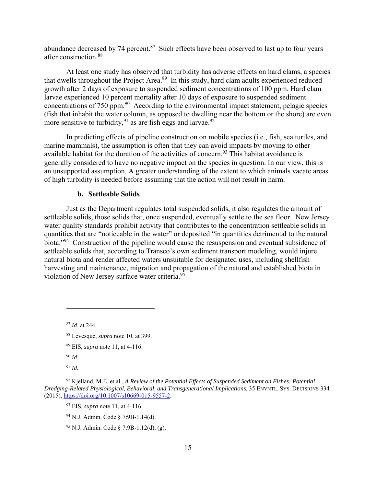abundance decreased by 74 percent. $87$  Such effects have been observed to last up to four years after construction.88

At least one study has observed that turbidity has adverse effects on hard clams, a species that dwells throughout the Project Area.<sup>89</sup> In this study, hard clam adults experienced reduced growth after 2 days of exposure to suspended sediment concentrations of 100 ppm. Hard clam larvae experienced 10 percent mortality after 10 days of exposure to suspended sediment concentrations of 750 ppm.<sup>90</sup> According to the environmental impact statement, pelagic species (fish that inhabit the water column, as opposed to dwelling near the bottom or the shore) are even more sensitive to turbidity,  $91$  as are fish eggs and larvae.  $92$ 

In predicting effects of pipeline construction on mobile species (i.e., fish, sea turtles, and marine mammals), the assumption is often that they can avoid impacts by moving to other available habitat for the duration of the activities of concern.<sup>93</sup> This habitat avoidance is generally considered to have no negative impact on the species in question. In our view, this is an unsupported assumption. A greater understanding of the extent to which animals vacate areas of high turbidity is needed before assuming that the action will not result in harm.

### **b. Settleable Solids**

Just as the Department regulates total suspended solids, it also regulates the amount of settleable solids, those solids that, once suspended, eventually settle to the sea floor. New Jersey water quality standards prohibit activity that contributes to the concentration settleable solids in quantities that are "noticeable in the water" or deposited "in quantities detrimental to the natural biota."<sup>94</sup> Construction of the pipeline would cause the resuspension and eventual subsidence of settleable solids that, according to Transco's own sediment transport modeling, would injure natural biota and render affected waters unsuitable for designated uses, including shellfish harvesting and maintenance, migration and propagation of the natural and established biota in violation of New Jersey surface water criteria.<sup>95</sup>

<sup>87</sup> *Id*. at 244.

- 88 Levesque, *supra* note 10, at 399.
- 89 EIS, *supra* note 11, at 4-116.
- <sup>90</sup> *Id*.

<sup>91</sup> *Id.*

<sup>92</sup> Kjelland, M.E. et al., *A Review of the Potential Effects of Suspended Sediment on Fishes: Potential Dredging-Related Physiological, Behavioral, and Transgenerational Implications*, 35 ENVNTL. SYS. DECISIONS 334 (2015), https://doi.org/10.1007/s10669-015-9557-2.

<sup>93</sup> EIS, *supra* note 11, at 4-116.

<sup>94</sup> N.J. Admin. Code § 7:9B-1.14(d).

<sup>95</sup> N.J. Admin. Code § 7:9B-1.12(d), (g).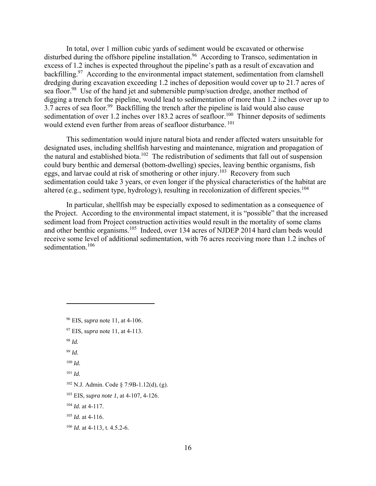In total, over 1 million cubic yards of sediment would be excavated or otherwise disturbed during the offshore pipeline installation.<sup>96</sup> According to Transco, sedimentation in excess of 1.2 inches is expected throughout the pipeline's path as a result of excavation and backfilling.<sup>97</sup> According to the environmental impact statement, sedimentation from clamshell dredging during excavation exceeding 1.2 inches of deposition would cover up to 21.7 acres of sea floor.<sup>98</sup> Use of the hand jet and submersible pump/suction dredge, another method of digging a trench for the pipeline, would lead to sedimentation of more than 1.2 inches over up to  $3.7$  acres of sea floor.<sup>99</sup> Backfilling the trench after the pipeline is laid would also cause sedimentation of over 1.2 inches over 183.2 acres of seafloor.<sup>100</sup> Thinner deposits of sediments would extend even further from areas of seafloor disturbance.<sup>101</sup>

This sedimentation would injure natural biota and render affected waters unsuitable for designated uses, including shellfish harvesting and maintenance, migration and propagation of the natural and established biota.<sup>102</sup> The redistribution of sediments that fall out of suspension could bury benthic and demersal (bottom-dwelling) species, leaving benthic organisms, fish eggs, and larvae could at risk of smothering or other injury.<sup>103</sup> Recovery from such sedimentation could take 3 years, or even longer if the physical characteristics of the habitat are altered (e.g., sediment type, hydrology), resulting in recolonization of different species.<sup>104</sup>

In particular, shellfish may be especially exposed to sedimentation as a consequence of the Project. According to the environmental impact statement, it is "possible" that the increased sediment load from Project construction activities would result in the mortality of some clams and other benthic organisms.105 Indeed, over 134 acres of NJDEP 2014 hard clam beds would receive some level of additional sedimentation, with 76 acres receiving more than 1.2 inches of sedimentation.<sup>106</sup>

- 97 EIS, *supra* note 11, at 4-113.
- <sup>98</sup> *Id.*

- <sup>99</sup> *Id.*
- <sup>100</sup> *Id.*
- <sup>101</sup> *Id.*

<sup>96</sup> EIS, *supra* note 11, at 4-106.

<sup>102</sup> N.J. Admin. Code § 7:9B-1.12(d), (g).

<sup>103</sup> EIS, *supra note 1*, at 4-107, 4-126.

<sup>104</sup> *Id.* at 4-117.

<sup>105</sup> *Id.* at 4-116.

<sup>106</sup> *Id.* at 4-113, t. 4.5.2-6.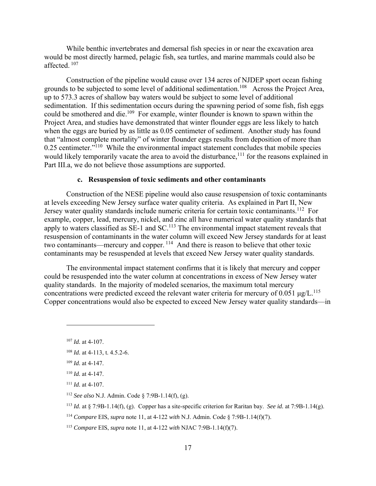While benthic invertebrates and demersal fish species in or near the excavation area would be most directly harmed, pelagic fish, sea turtles, and marine mammals could also be affected. 107

Construction of the pipeline would cause over 134 acres of NJDEP sport ocean fishing grounds to be subjected to some level of additional sedimentation.108 Across the Project Area, up to 573.3 acres of shallow bay waters would be subject to some level of additional sedimentation. If this sedimentation occurs during the spawning period of some fish, fish eggs could be smothered and die.<sup>109</sup> For example, winter flounder is known to spawn within the Project Area, and studies have demonstrated that winter flounder eggs are less likely to hatch when the eggs are buried by as little as 0.05 centimeter of sediment. Another study has found that "almost complete mortality" of winter flounder eggs results from deposition of more than 0.25 centimeter."<sup>110</sup> While the environmental impact statement concludes that mobile species would likely temporarily vacate the area to avoid the disturbance,<sup>111</sup> for the reasons explained in Part III.a, we do not believe those assumptions are supported.

# **c. Resuspension of toxic sediments and other contaminants**

Construction of the NESE pipeline would also cause resuspension of toxic contaminants at levels exceeding New Jersey surface water quality criteria. As explained in Part II, New Jersey water quality standards include numeric criteria for certain toxic contaminants.<sup>112</sup> For example, copper, lead, mercury, nickel, and zinc all have numerical water quality standards that apply to waters classified as SE-1 and SC.<sup>113</sup> The environmental impact statement reveals that resuspension of contaminants in the water column will exceed New Jersey standards for at least two contaminants—mercury and copper. 114 And there is reason to believe that other toxic contaminants may be resuspended at levels that exceed New Jersey water quality standards.

The environmental impact statement confirms that it is likely that mercury and copper could be resuspended into the water column at concentrations in excess of New Jersey water quality standards. In the majority of modeled scenarios, the maximum total mercury concentrations were predicted exceed the relevant water criteria for mercury of 0.051  $\mu$ g/L.<sup>115</sup> Copper concentrations would also be expected to exceed New Jersey water quality standards—in

1

<sup>107</sup> *Id.* at 4-107.

<sup>108</sup> *Id.* at 4-113, t. 4.5.2-6.

<sup>109</sup> *Id.* at 4-147.

 $110$  *Id.* at 4-147.

<sup>111</sup> *Id.* at 4-107.

<sup>112</sup> *See also* N.J. Admin. Code § 7:9B-1.14(f), (g).

<sup>113</sup> *Id.* at § 7:9B-1.14(f), (g). Copper has a site-specific criterion for Raritan bay. *See id.* at 7:9B-1.14(g).

<sup>114</sup> *Compare* EIS, *supra* note 11, at 4-122 *with* N.J. Admin. Code § 7:9B-1.14(f)(7).

<sup>115</sup> *Compare* EIS, *supra* note 11, at 4-122 *with* NJAC 7:9B-1.14(f)(7).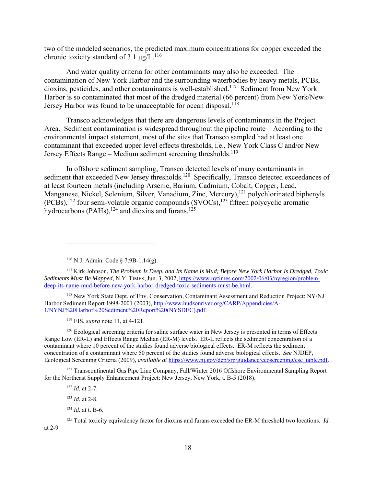two of the modeled scenarios, the predicted maximum concentrations for copper exceeded the chronic toxicity standard of 3.1  $\mu$ g/L.<sup>116</sup>

And water quality criteria for other contaminants may also be exceeded. The contamination of New York Harbor and the surrounding waterbodies by heavy metals, PCBs, dioxins, pesticides, and other contaminants is well-established.<sup>117</sup> Sediment from New York Harbor is so contaminated that most of the dredged material (66 percent) from New York/New Jersey Harbor was found to be unacceptable for ocean disposal.<sup>118</sup>

Transco acknowledges that there are dangerous levels of contaminants in the Project Area. Sediment contamination is widespread throughout the pipeline route—According to the environmental impact statement, most of the sites that Transco sampled had at least one contaminant that exceeded upper level effects thresholds, i.e., New York Class C and/or New Jersey Effects Range – Medium sediment screening thresholds.<sup>119</sup>

In offshore sediment sampling, Transco detected levels of many contaminants in sediment that exceeded New Jersey thresholds.<sup>120</sup> Specifically, Transco detected exceedances of at least fourteen metals (including Arsenic, Barium, Cadmium, Cobalt, Copper, Lead, Manganese, Nickel, Selenium, Silver, Vanadium, Zinc, Mercury),<sup>121</sup> polychlorinated biphenyls  $(PCBs)$ ,<sup>122</sup> four semi-volatile organic compounds  $(SVOCs)$ ,<sup>123</sup> fifteen polycyclic aromatic hydrocarbons (PAHs),<sup>124</sup> and dioxins and furans.<sup>125</sup>

118 New York State Dept. of Env. Conservation, Contaminant Assessment and Reduction Project: NY/NJ Harbor Sediment Report 1998-2001 (2003), http://www.hudsonriver.org/CARP/Appendicies/A-1/NYNJ%20Harbor%20Sediment%20Report%20(NYSDEC).pdf.

119 EIS, *supra* note 11, at 4-121.

<sup>120</sup> Ecological screening criteria for saline surface water in New Jersey is presented in terms of Effects Range Low (ER-L) and Effects Range Median (ER-M) levels. ER-L reflects the sediment concentration of a contaminant where 10 percent of the studies found adverse biological effects. ER-M reflects the sediment concentration of a contaminant where 50 percent of the studies found adverse biological effects. *See* NJDEP, Ecological Screening Criteria (2009), *available at* https://www.nj.gov/dep/srp/guidance/ecoscreening/esc\_table.pdf.

<sup>121</sup> Transcontinental Gas Pipe Line Company, Fall/Winter 2016 Offshore Environmental Sampling Report for the Northeast Supply Enhancement Project: New Jersey, New York, t. B-5 (2018).

<sup>122</sup> *Id.* at 2-7.

 $\overline{a}$ 

125 Total toxicity equivalency factor for dioxins and furans exceeded the ER-M threshold two locations. *Id.*  at 2-9.

<sup>116</sup> N.J. Admin. Code § 7:9B-1.14(g).

<sup>117</sup> Kirk Johnson, *The Problem Is Deep, and Its Name Is Mud; Before New York Harbor Is Dredged, Toxic Sediments Must Be Mapped*, N.Y. TIMES, Jun. 3, 2002, https://www.nytimes.com/2002/06/03/nyregion/problemdeep-its-name-mud-before-new-york-harbor-dredged-toxic-sediments-must-be.html.

<sup>123</sup> *Id.* at 2-8.

<sup>124</sup> *Id.* at t. B-6.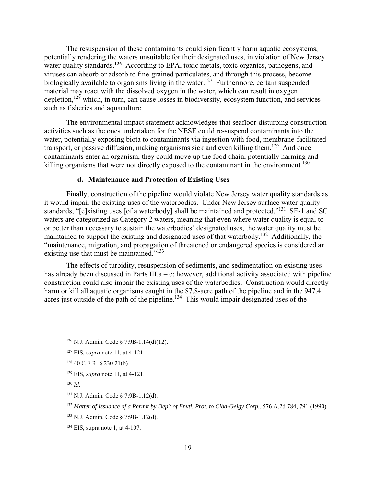The resuspension of these contaminants could significantly harm aquatic ecosystems, potentially rendering the waters unsuitable for their designated uses, in violation of New Jersey water quality standards.<sup>126</sup> According to EPA, toxic metals, toxic organics, pathogens, and viruses can absorb or adsorb to fine-grained particulates, and through this process, become biologically available to organisms living in the water.<sup>127</sup> Furthermore, certain suspended material may react with the dissolved oxygen in the water, which can result in oxygen depletion,  $128$  which, in turn, can cause losses in biodiversity, ecosystem function, and services such as fisheries and aquaculture.

The environmental impact statement acknowledges that seafloor-disturbing construction activities such as the ones undertaken for the NESE could re-suspend contaminants into the water, potentially exposing biota to contaminants via ingestion with food, membrane-facilitated transport, or passive diffusion, making organisms sick and even killing them.<sup>129</sup> And once contaminants enter an organism, they could move up the food chain, potentially harming and killing organisms that were not directly exposed to the contaminant in the environment.<sup>130</sup>

# **d. Maintenance and Protection of Existing Uses**

Finally, construction of the pipeline would violate New Jersey water quality standards as it would impair the existing uses of the waterbodies. Under New Jersey surface water quality standards, "[e]xisting uses [of a waterbody] shall be maintained and protected."<sup>131</sup> SE-1 and SC waters are categorized as Category 2 waters, meaning that even where water quality is equal to or better than necessary to sustain the waterbodies' designated uses, the water quality must be maintained to support the existing and designated uses of that waterbody.132 Additionally, the "maintenance, migration, and propagation of threatened or endangered species is considered an existing use that must be maintained."<sup>133</sup>

The effects of turbidity, resuspension of sediments, and sedimentation on existing uses has already been discussed in Parts III.a – c; however, additional activity associated with pipeline construction could also impair the existing uses of the waterbodies. Construction would directly harm or kill all aquatic organisms caught in the 87.8-acre path of the pipeline and in the 947.4 acres just outside of the path of the pipeline.<sup>134</sup> This would impair designated uses of the

1

<sup>126</sup> N.J. Admin. Code § 7:9B-1.14(d)(12).

<sup>127</sup> EIS, *supra* note 11, at 4-121.

 $128$  40 C.F.R. § 230.21(b).

<sup>129</sup> EIS, *supra* note 11, at 4-121.

<sup>130</sup> *Id*.

<sup>131</sup> N.J. Admin. Code § 7:9B-1.12(d).

<sup>132</sup> *Matter of Issuance of a Permit by Dep't of Envtl. Prot. to Ciba-Geigy Corp.*, 576 A.2d 784, 791 (1990).

<sup>133</sup> N.J. Admin. Code § 7:9B-1.12(d).

<sup>134</sup> EIS, supra note 1, at 4-107.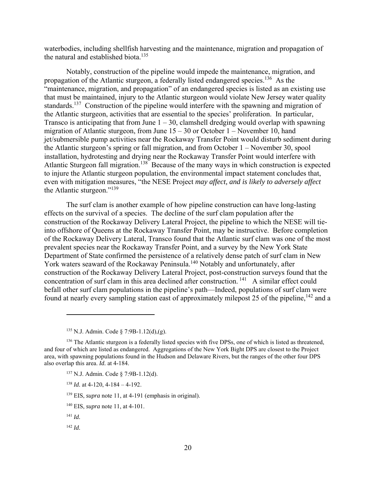waterbodies, including shellfish harvesting and the maintenance, migration and propagation of the natural and established biota.<sup>135</sup>

Notably, construction of the pipeline would impede the maintenance, migration, and propagation of the Atlantic sturgeon, a federally listed endangered species.<sup>136</sup> As the "maintenance, migration, and propagation" of an endangered species is listed as an existing use that must be maintained, injury to the Atlantic sturgeon would violate New Jersey water quality standards.<sup>137</sup> Construction of the pipeline would interfere with the spawning and migration of the Atlantic sturgeon, activities that are essential to the species' proliferation. In particular, Transco is anticipating that from June  $1 - 30$ , clamshell dredging would overlap with spawning migration of Atlantic sturgeon, from June  $15 - 30$  or October  $1 -$ November 10, hand jet/submersible pump activities near the Rockaway Transfer Point would disturb sediment during the Atlantic sturgeon's spring or fall migration, and from October 1 – November 30, spool installation, hydrotesting and drying near the Rockaway Transfer Point would interfere with Atlantic Sturgeon fall migration.<sup>138</sup> Because of the many ways in which construction is expected to injure the Atlantic sturgeon population, the environmental impact statement concludes that, even with mitigation measures, "the NESE Project *may affect, and is likely to adversely affect* the Atlantic sturgeon."139

The surf clam is another example of how pipeline construction can have long-lasting effects on the survival of a species. The decline of the surf clam population after the construction of the Rockaway Delivery Lateral Project, the pipeline to which the NESE will tieinto offshore of Queens at the Rockaway Transfer Point, may be instructive. Before completion of the Rockaway Delivery Lateral, Transco found that the Atlantic surf clam was one of the most prevalent species near the Rockaway Transfer Point, and a survey by the New York State Department of State confirmed the persistence of a relatively dense patch of surf clam in New York waters seaward of the Rockaway Peninsula.<sup>140</sup> Notably and unfortunately, after construction of the Rockaway Delivery Lateral Project, post-construction surveys found that the concentration of surf clam in this area declined after construction. 141 A similar effect could befall other surf clam populations in the pipeline's path—Indeed, populations of surf clam were found at nearly every sampling station east of approximately milepost 25 of the pipeline,<sup>142</sup> and a

- 137 N.J. Admin. Code § 7:9B-1.12(d).
- <sup>138</sup> *Id.* at 4-120, 4-184 4-192.

139 EIS, *supra* note 11, at 4-191 (emphasis in original).

- 140 EIS, *supra* note 11, at 4-101.
- <sup>141</sup> *Id.*

1

<sup>142</sup> *Id.*

<sup>135</sup> N.J. Admin. Code § 7:9B-1.12(d),(g).

<sup>&</sup>lt;sup>136</sup> The Atlantic sturgeon is a federally listed species with five DPSs, one of which is listed as threatened, and four of which are listed as endangered. Aggregations of the New York Bight DPS are closest to the Project area, with spawning populations found in the Hudson and Delaware Rivers, but the ranges of the other four DPS also overlap this area. *Id.* at 4-184.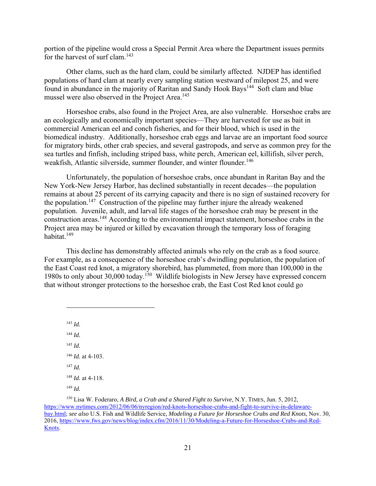portion of the pipeline would cross a Special Permit Area where the Department issues permits for the harvest of surf clam.<sup>143</sup>

Other clams, such as the hard clam, could be similarly affected. NJDEP has identified populations of hard clam at nearly every sampling station westward of milepost 25, and were found in abundance in the majority of Raritan and Sandy Hook Bays<sup>144</sup> Soft clam and blue mussel were also observed in the Project Area.<sup>145</sup>

Horseshoe crabs, also found in the Project Area, are also vulnerable. Horseshoe crabs are an ecologically and economically important species—They are harvested for use as bait in commercial American eel and conch fisheries, and for their blood, which is used in the biomedical industry. Additionally, horseshoe crab eggs and larvae are an important food source for migratory birds, other crab species, and several gastropods, and serve as common prey for the sea turtles and finfish, including striped bass, white perch, American eel, killifish, silver perch, weakfish, Atlantic silverside, summer flounder, and winter flounder.<sup>146</sup>

Unfortunately, the population of horseshoe crabs, once abundant in Raritan Bay and the New York-New Jersey Harbor, has declined substantially in recent decades—the population remains at about 25 percent of its carrying capacity and there is no sign of sustained recovery for the population.<sup>147</sup> Construction of the pipeline may further injure the already weakened population. Juvenile, adult, and larval life stages of the horseshoe crab may be present in the construction areas.<sup>148</sup> According to the environmental impact statement, horseshoe crabs in the Project area may be injured or killed by excavation through the temporary loss of foraging habitat.149

This decline has demonstrably affected animals who rely on the crab as a food source. For example, as a consequence of the horseshoe crab's dwindling population, the population of the East Coast red knot, a migratory shorebird, has plummeted, from more than 100,000 in the 1980s to only about 30,000 today.150 Wildlife biologists in New Jersey have expressed concern that without stronger protections to the horseshoe crab, the East Cost Red knot could go

<sup>143</sup> *Id.* <sup>144</sup> *Id.* <sup>145</sup> *Id.* <sup>146</sup> *Id.* at 4-103. <sup>147</sup> *Id.* <sup>148</sup> *Id.* at 4-118. <sup>149</sup> *Id.*

<sup>150</sup> Lisa W. Foderaro, *A Bird, a Crab and a Shared Fight to Survive*, N.Y. TIMES, Jun. 5, 2012, https://www.nytimes.com/2012/06/06/nyregion/red-knots-horseshoe-crabs-and-fight-to-survive-in-delawarebay.html; *see also* U.S. Fish and Wildlife Service*, Modeling a Future for Horseshoe Crabs and Red Knots*, Nov. 30, 2016, https://www.fws.gov/news/blog/index.cfm/2016/11/30/Modeling-a-Future-for-Horseshoe-Crabs-and-Red-Knots.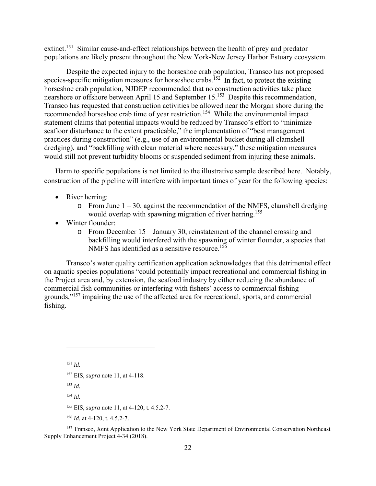extinct.151 Similar cause-and-effect relationships between the health of prey and predator populations are likely present throughout the New York-New Jersey Harbor Estuary ecosystem.

Despite the expected injury to the horseshoe crab population, Transco has not proposed species-specific mitigation measures for horseshoe crabs.<sup>152</sup> In fact, to protect the existing horseshoe crab population, NJDEP recommended that no construction activities take place nearshore or offshore between April 15 and September 15.<sup>153</sup> Despite this recommendation. Transco has requested that construction activities be allowed near the Morgan shore during the recommended horseshoe crab time of year restriction.<sup>154</sup> While the environmental impact statement claims that potential impacts would be reduced by Transco's effort to "minimize seafloor disturbance to the extent practicable," the implementation of "best management practices during construction" (e.g., use of an environmental bucket during all clamshell dredging), and "backfilling with clean material where necessary," these mitigation measures would still not prevent turbidity blooms or suspended sediment from injuring these animals.

Harm to specific populations is not limited to the illustrative sample described here. Notably, construction of the pipeline will interfere with important times of year for the following species:

- River herring:
	- $\circ$  From June  $1 30$ , against the recommendation of the NMFS, clamshell dredging would overlap with spawning migration of river herring.<sup>155</sup>
- Winter flounder:
	- o From December 15 January 30, reinstatement of the channel crossing and backfilling would interfered with the spawning of winter flounder, a species that NMFS has identified as a sensitive resource.<sup>156</sup>

Transco's water quality certification application acknowledges that this detrimental effect on aquatic species populations "could potentially impact recreational and commercial fishing in the Project area and, by extension, the seafood industry by either reducing the abundance of commercial fish communities or interfering with fishers' access to commercial fishing grounds,"157 impairing the use of the affected area for recreational, sports, and commercial fishing.

<sup>151</sup> *Id.* 

1

<sup>153</sup> *Id.*

<sup>154</sup> *Id.* 

- 155 EIS, *supra* note 11, at 4-120, t. 4.5.2-7.
- <sup>156</sup> *Id.* at 4-120, t. 4.5.2-7.

<sup>157</sup> Transco, Joint Application to the New York State Department of Environmental Conservation Northeast Supply Enhancement Project 4-34 (2018).

<sup>152</sup> EIS, *supra* note 11, at 4-118.